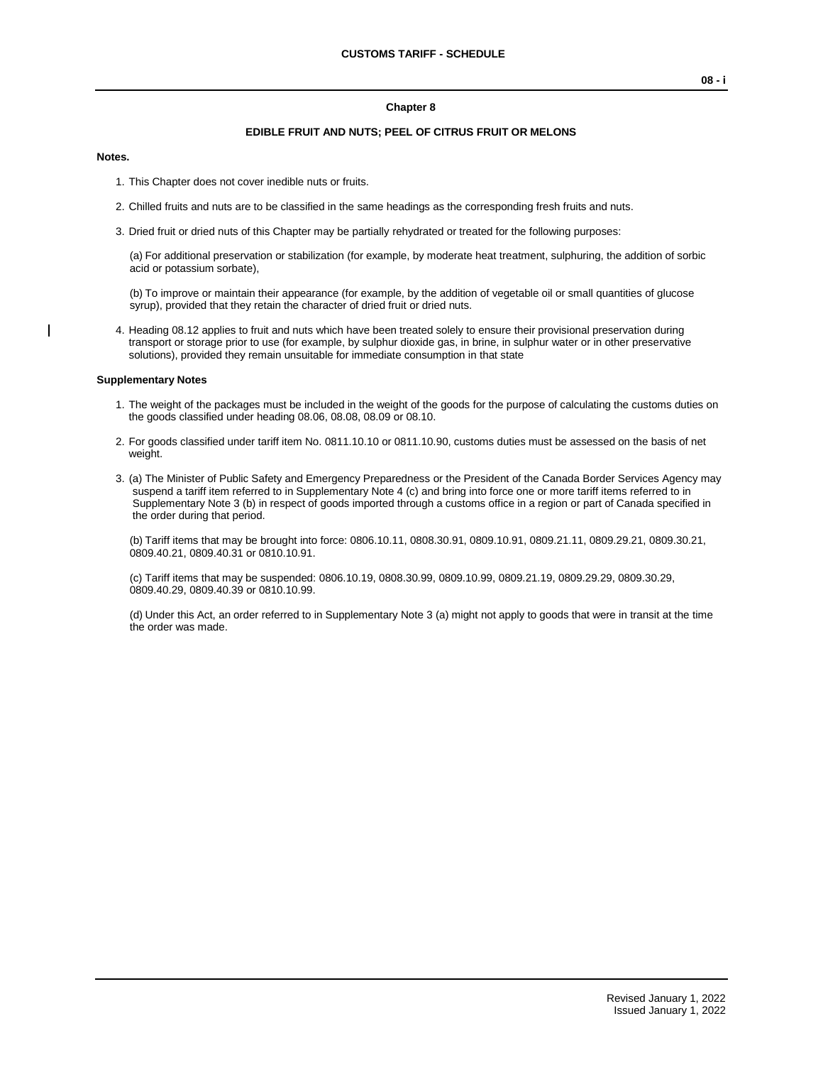### **Chapter 8**

### **EDIBLE FRUIT AND NUTS; PEEL OF CITRUS FRUIT OR MELONS**

### **Notes.**

- 1. This Chapter does not cover inedible nuts or fruits.
- 2. Chilled fruits and nuts are to be classified in the same headings as the corresponding fresh fruits and nuts.
- 3. Dried fruit or dried nuts of this Chapter may be partially rehydrated or treated for the following purposes:

(a) For additional preservation or stabilization (for example, by moderate heat treatment, sulphuring, the addition of sorbic acid or potassium sorbate),

(b) To improve or maintain their appearance (for example, by the addition of vegetable oil or small quantities of glucose syrup), provided that they retain the character of dried fruit or dried nuts.

4. Heading 08.12 applies to fruit and nuts which have been treated solely to ensure their provisional preservation during transport or storage prior to use (for example, by sulphur dioxide gas, in brine, in sulphur water or in other preservative solutions), provided they remain unsuitable for immediate consumption in that state

#### **Supplementary Notes**

- 1. The weight of the packages must be included in the weight of the goods for the purpose of calculating the customs duties on the goods classified under heading 08.06, 08.08, 08.09 or 08.10.
- 2. For goods classified under tariff item No. 0811.10.10 or 0811.10.90, customs duties must be assessed on the basis of net weight.
- 3. (a) The Minister of Public Safety and Emergency Preparedness or the President of the Canada Border Services Agency may suspend a tariff item referred to in Supplementary Note 4 (c) and bring into force one or more tariff items referred to in Supplementary Note 3 (b) in respect of goods imported through a customs office in a region or part of Canada specified in the order during that period.

(b) Tariff items that may be brought into force: 0806.10.11, 0808.30.91, 0809.10.91, 0809.21.11, 0809.29.21, 0809.30.21, 0809.40.21, 0809.40.31 or 0810.10.91.

(c) Tariff items that may be suspended: 0806.10.19, 0808.30.99, 0809.10.99, 0809.21.19, 0809.29.29, 0809.30.29, 0809.40.29, 0809.40.39 or 0810.10.99.

(d) Under this Act, an order referred to in Supplementary Note 3 (a) might not apply to goods that were in transit at the time the order was made.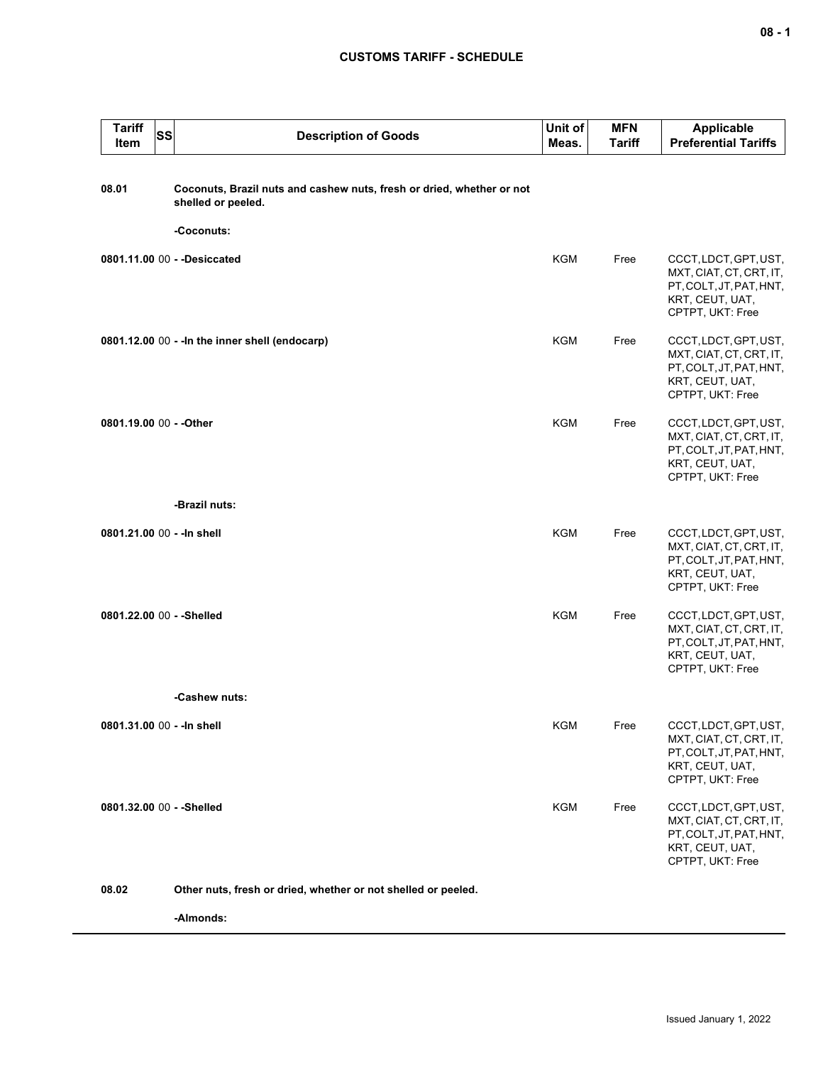| <b>Tariff</b><br><b>SS</b><br>Item | <b>Description of Goods</b>                                                                 | Unit of<br>Meas. | <b>MFN</b><br>Tariff | <b>Applicable</b><br><b>Preferential Tariffs</b>                                                                   |
|------------------------------------|---------------------------------------------------------------------------------------------|------------------|----------------------|--------------------------------------------------------------------------------------------------------------------|
| 08.01                              | Coconuts, Brazil nuts and cashew nuts, fresh or dried, whether or not<br>shelled or peeled. |                  |                      |                                                                                                                    |
|                                    | -Coconuts:                                                                                  |                  |                      |                                                                                                                    |
|                                    | 0801.11.00 00 - - Desiccated                                                                | <b>KGM</b>       | Free                 | CCCT, LDCT, GPT, UST,<br>MXT, CIAT, CT, CRT, IT,<br>PT, COLT, JT, PAT, HNT,<br>KRT, CEUT, UAT,<br>CPTPT, UKT: Free |
|                                    | 0801.12.00 00 - - In the inner shell (endocarp)                                             | <b>KGM</b>       | Free                 | CCCT, LDCT, GPT, UST,<br>MXT, CIAT, CT, CRT, IT,<br>PT, COLT, JT, PAT, HNT,<br>KRT, CEUT, UAT,<br>CPTPT, UKT: Free |
| 0801.19.00 00 - - Other            |                                                                                             | <b>KGM</b>       | Free                 | CCCT, LDCT, GPT, UST,<br>MXT, CIAT, CT, CRT, IT,<br>PT, COLT, JT, PAT, HNT,<br>KRT, CEUT, UAT,<br>CPTPT, UKT: Free |
|                                    | -Brazil nuts:                                                                               |                  |                      |                                                                                                                    |
| 0801.21.00 00 - - In shell         |                                                                                             | <b>KGM</b>       | Free                 | CCCT, LDCT, GPT, UST,<br>MXT, CIAT, CT, CRT, IT,<br>PT, COLT, JT, PAT, HNT,<br>KRT, CEUT, UAT,<br>CPTPT, UKT: Free |
| 0801.22.00 00 - - Shelled          |                                                                                             | <b>KGM</b>       | Free                 | CCCT, LDCT, GPT, UST,<br>MXT, CIAT, CT, CRT, IT,<br>PT, COLT, JT, PAT, HNT,<br>KRT, CEUT, UAT,<br>CPTPT, UKT: Free |
|                                    | -Cashew nuts:                                                                               |                  |                      |                                                                                                                    |
| 0801.31.00 00 - - In shell         |                                                                                             | KGM              | Free                 | CCCT, LDCT, GPT, UST,<br>MXT, CIAT, CT, CRT, IT,<br>PT, COLT, JT, PAT, HNT,<br>KRT, CEUT, UAT,<br>CPTPT, UKT: Free |
| 0801.32.00 00 - - Shelled          |                                                                                             | KGM              | Free                 | CCCT, LDCT, GPT, UST,<br>MXT, CIAT, CT, CRT, IT,<br>PT, COLT, JT, PAT, HNT,<br>KRT, CEUT, UAT,<br>CPTPT, UKT: Free |
| 08.02                              | Other nuts, fresh or dried, whether or not shelled or peeled.                               |                  |                      |                                                                                                                    |
|                                    | -Almonds:                                                                                   |                  |                      |                                                                                                                    |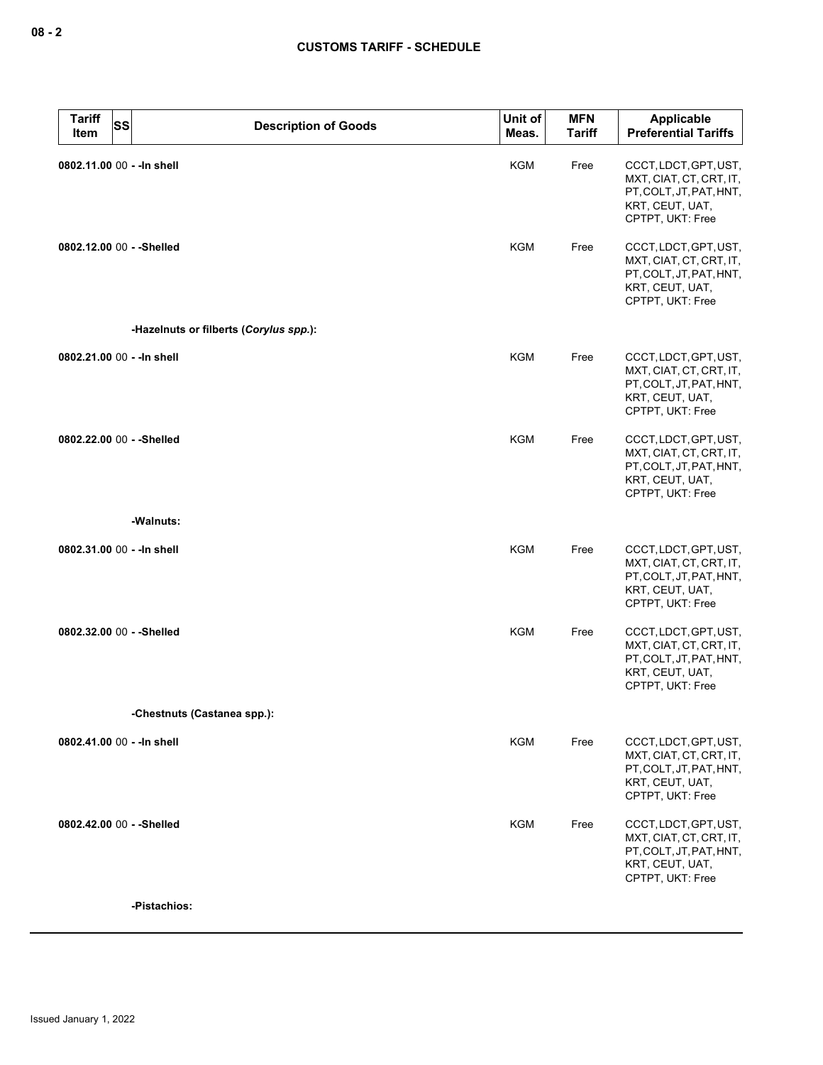| <b>Tariff</b><br><b>SS</b><br>Item | <b>Description of Goods</b>            | Unit of<br>Meas. | <b>MFN</b><br><b>Tariff</b> | Applicable<br><b>Preferential Tariffs</b>                                                                          |
|------------------------------------|----------------------------------------|------------------|-----------------------------|--------------------------------------------------------------------------------------------------------------------|
| 0802.11.00 00 - - In shell         |                                        | <b>KGM</b>       | Free                        | CCCT, LDCT, GPT, UST,<br>MXT, CIAT, CT, CRT, IT,<br>PT, COLT, JT, PAT, HNT,<br>KRT, CEUT, UAT,<br>CPTPT, UKT: Free |
| 0802.12.00 00 - - Shelled          |                                        | <b>KGM</b>       | Free                        | CCCT, LDCT, GPT, UST,<br>MXT, CIAT, CT, CRT, IT,<br>PT, COLT, JT, PAT, HNT,<br>KRT, CEUT, UAT,<br>CPTPT, UKT: Free |
|                                    | -Hazelnuts or filberts (Corylus spp.): |                  |                             |                                                                                                                    |
| 0802.21.00 00 - - In shell         |                                        | <b>KGM</b>       | Free                        | CCCT, LDCT, GPT, UST,<br>MXT, CIAT, CT, CRT, IT,<br>PT, COLT, JT, PAT, HNT,<br>KRT, CEUT, UAT,<br>CPTPT, UKT: Free |
| 0802.22.00 00 - - Shelled          |                                        | <b>KGM</b>       | Free                        | CCCT, LDCT, GPT, UST,<br>MXT, CIAT, CT, CRT, IT,<br>PT, COLT, JT, PAT, HNT,<br>KRT, CEUT, UAT,<br>CPTPT, UKT: Free |
|                                    | -Walnuts:                              |                  |                             |                                                                                                                    |
| 0802.31.00 00 - - In shell         |                                        | <b>KGM</b>       | Free                        | CCCT, LDCT, GPT, UST,<br>MXT, CIAT, CT, CRT, IT,<br>PT, COLT, JT, PAT, HNT,<br>KRT, CEUT, UAT,<br>CPTPT, UKT: Free |
| 0802.32.00 00 - - Shelled          |                                        | KGM              | Free                        | CCCT, LDCT, GPT, UST,<br>MXT, CIAT, CT, CRT, IT,<br>PT, COLT, JT, PAT, HNT,<br>KRT, CEUT, UAT,<br>CPTPT, UKT: Free |
|                                    | -Chestnuts (Castanea spp.):            |                  |                             |                                                                                                                    |
| 0802.41.00 00 - - In shell         |                                        | KGM              | Free                        | CCCT, LDCT, GPT, UST,<br>MXT, CIAT, CT, CRT, IT,<br>PT, COLT, JT, PAT, HNT,<br>KRT, CEUT, UAT,<br>CPTPT, UKT: Free |
| 0802.42.00 00 - - Shelled          |                                        | <b>KGM</b>       | Free                        | CCCT, LDCT, GPT, UST,<br>MXT, CIAT, CT, CRT, IT,<br>PT, COLT, JT, PAT, HNT,<br>KRT, CEUT, UAT,<br>CPTPT, UKT: Free |
|                                    | -Pistachios:                           |                  |                             |                                                                                                                    |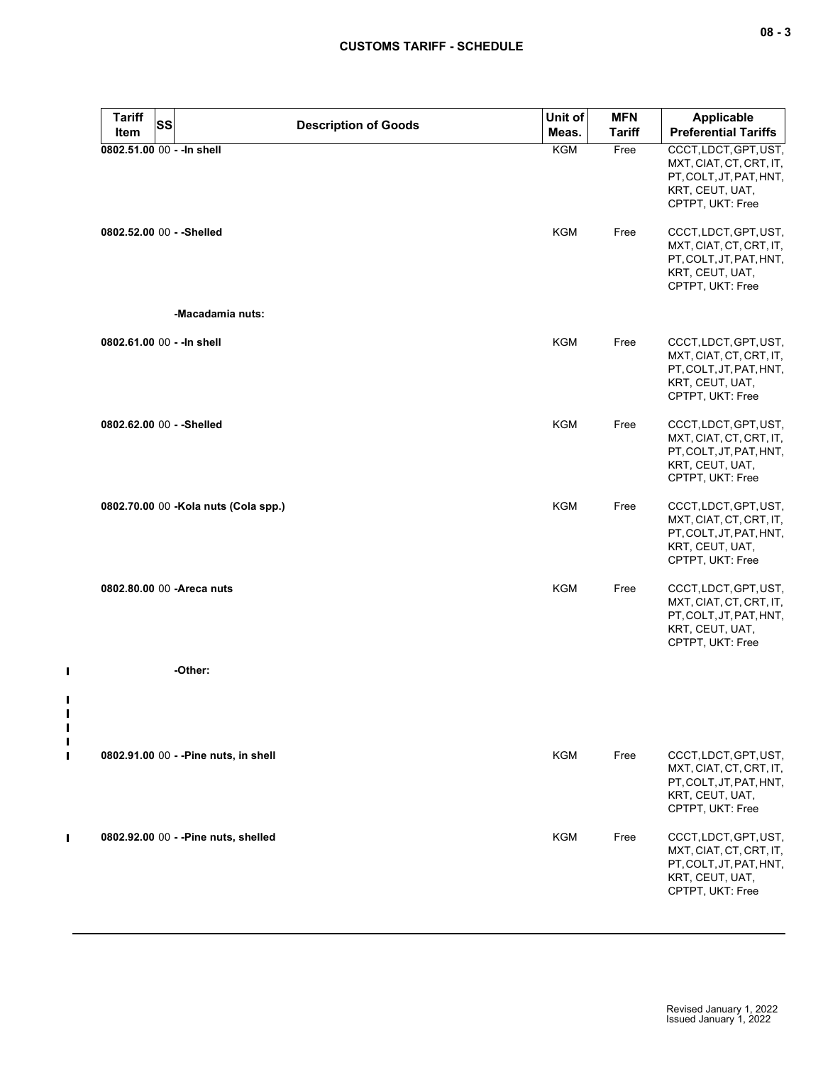| Tariff<br><b>SS</b>        | <b>Description of Goods</b>           | Unit of    | <b>MFN</b>    | Applicable                                                                                                         |
|----------------------------|---------------------------------------|------------|---------------|--------------------------------------------------------------------------------------------------------------------|
| Item                       |                                       | Meas.      | <b>Tariff</b> | <b>Preferential Tariffs</b>                                                                                        |
| 0802.51.00 00 - - In shell |                                       | <b>KGM</b> | Free          | CCCT, LDCT, GPT, UST,<br>MXT, CIAT, CT, CRT, IT,<br>PT, COLT, JT, PAT, HNT,<br>KRT, CEUT, UAT,<br>CPTPT, UKT: Free |
| 0802.52.00 00 - - Shelled  |                                       | KGM        | Free          | CCCT, LDCT, GPT, UST,<br>MXT, CIAT, CT, CRT, IT,<br>PT, COLT, JT, PAT, HNT,<br>KRT, CEUT, UAT,<br>CPTPT, UKT: Free |
|                            | -Macadamia nuts:                      |            |               |                                                                                                                    |
| 0802.61.00 00 - - In shell |                                       | <b>KGM</b> | Free          | CCCT, LDCT, GPT, UST,<br>MXT, CIAT, CT, CRT, IT,<br>PT, COLT, JT, PAT, HNT,<br>KRT, CEUT, UAT,<br>CPTPT, UKT: Free |
| 0802.62.00 00 - - Shelled  |                                       | <b>KGM</b> | Free          | CCCT, LDCT, GPT, UST,<br>MXT, CIAT, CT, CRT, IT,<br>PT, COLT, JT, PAT, HNT,<br>KRT, CEUT, UAT,<br>CPTPT, UKT: Free |
|                            | 0802.70.00 00 -Kola nuts (Cola spp.)  | KGM        | Free          | CCCT, LDCT, GPT, UST,<br>MXT, CIAT, CT, CRT, IT,<br>PT, COLT, JT, PAT, HNT,<br>KRT, CEUT, UAT,<br>CPTPT, UKT: Free |
|                            | 0802.80.00 00 - Areca nuts            | <b>KGM</b> | Free          | CCCT, LDCT, GPT, UST,<br>MXT, CIAT, CT, CRT, IT,<br>PT, COLT, JT, PAT, HNT,<br>KRT, CEUT, UAT,<br>CPTPT, UKT: Free |
|                            | -Other:                               |            |               |                                                                                                                    |
|                            | 0802.91.00 00 - - Pine nuts, in shell | <b>KGM</b> | Free          | CCCT, LDCT, GPT, UST,<br>MXT, CIAT, CT, CRT, IT,<br>PT, COLT, JT, PAT, HNT,<br>KRT, CEUT, UAT,<br>CPTPT, UKT: Free |
|                            | 0802.92.00 00 - - Pine nuts, shelled  | KGM        | Free          | CCCT, LDCT, GPT, UST,<br>MXT, CIAT, CT, CRT, IT,<br>PT, COLT, JT, PAT, HNT,<br>KRT, CEUT, UAT,<br>CPTPT, UKT: Free |

 $\mathbf I$ 

 $\blacksquare$  $\blacksquare$  $\blacksquare$  $\blacksquare$  $\mathbf{I}$ 

 $\mathbf{I}$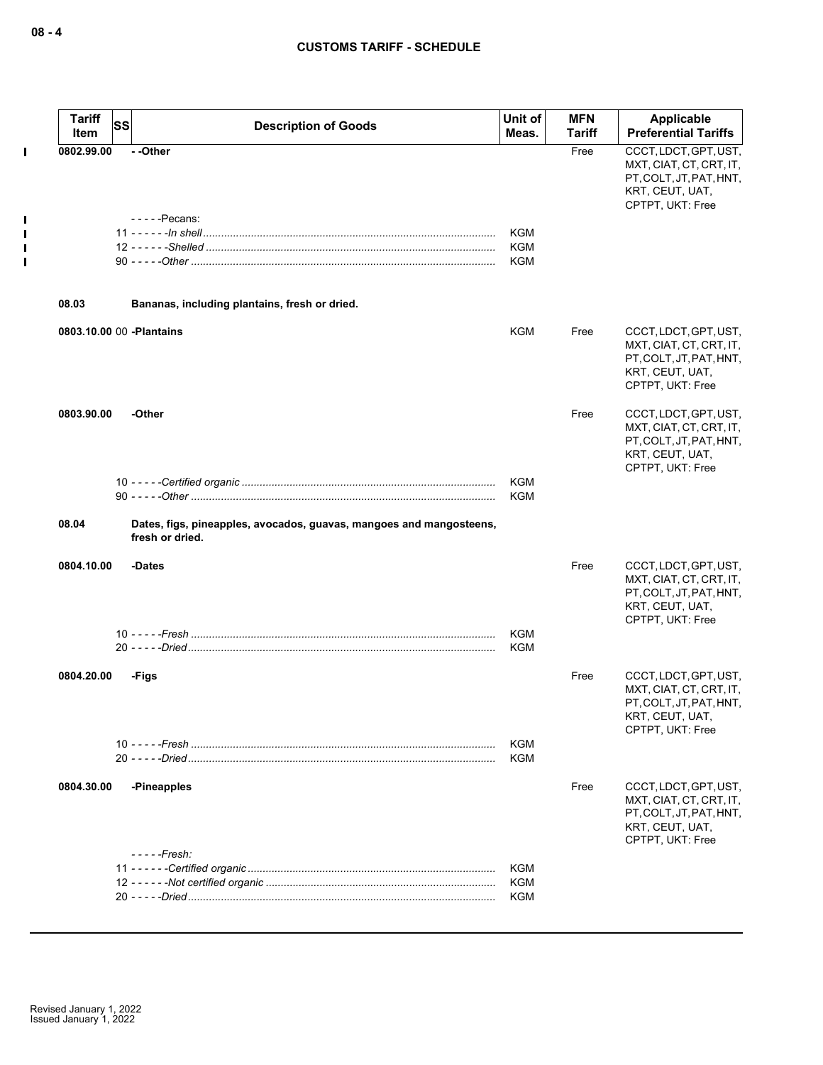| Tariff<br>Item           | SS | <b>Description of Goods</b>                                                            | Unit of<br>Meas.  | <b>MFN</b><br>Tariff | <b>Applicable</b><br><b>Preferential Tariffs</b>                                                                   |
|--------------------------|----|----------------------------------------------------------------------------------------|-------------------|----------------------|--------------------------------------------------------------------------------------------------------------------|
| 0802.99.00               |    | --Other                                                                                |                   | Free                 | CCCT, LDCT, GPT, UST,<br>MXT, CIAT, CT, CRT, IT,<br>PT, COLT, JT, PAT, HNT,<br>KRT, CEUT, UAT,<br>CPTPT, UKT: Free |
|                          |    | $---Pecans:$                                                                           | KGM               |                      |                                                                                                                    |
|                          |    |                                                                                        | KGM               |                      |                                                                                                                    |
|                          |    |                                                                                        | KGM               |                      |                                                                                                                    |
| 08.03                    |    | Bananas, including plantains, fresh or dried.                                          |                   |                      |                                                                                                                    |
| 0803.10.00 00 -Plantains |    |                                                                                        | <b>KGM</b>        | Free                 | CCCT, LDCT, GPT, UST,<br>MXT, CIAT, CT, CRT, IT,<br>PT, COLT, JT, PAT, HNT,<br>KRT, CEUT, UAT,<br>CPTPT, UKT: Free |
| 0803.90.00               |    | -Other                                                                                 |                   | Free                 | CCCT, LDCT, GPT, UST,<br>MXT, CIAT, CT, CRT, IT,<br>PT, COLT, JT, PAT, HNT,<br>KRT, CEUT, UAT,<br>CPTPT, UKT: Free |
|                          |    |                                                                                        | KGM               |                      |                                                                                                                    |
|                          |    |                                                                                        | KGM               |                      |                                                                                                                    |
| 08.04                    |    | Dates, figs, pineapples, avocados, guavas, mangoes and mangosteens,<br>fresh or dried. |                   |                      |                                                                                                                    |
| 0804.10.00               |    | -Dates                                                                                 |                   | Free                 | CCCT, LDCT, GPT, UST,<br>MXT, CIAT, CT, CRT, IT,<br>PT, COLT, JT, PAT, HNT,<br>KRT, CEUT, UAT,<br>CPTPT, UKT: Free |
|                          |    |                                                                                        | <b>KGM</b><br>KGM |                      |                                                                                                                    |
| 0804.20.00               |    | -Figs                                                                                  |                   | Free                 | CCCT, LDCT, GPT, UST,<br>MXT, CIAT, CT, CRT, IT,<br>PT, COLT, JT, PAT, HNT,<br>KRT, CEUT, UAT,<br>CPTPT, UKT: Free |
|                          |    |                                                                                        | <b>KGM</b>        |                      |                                                                                                                    |
|                          |    |                                                                                        | <b>KGM</b>        |                      |                                                                                                                    |
| 0804.30.00               |    | -Pineapples                                                                            |                   | Free                 | CCCT, LDCT, GPT, UST,<br>MXT, CIAT, CT, CRT, IT,<br>PT, COLT, JT, PAT, HNT,<br>KRT, CEUT, UAT,                     |
|                          |    |                                                                                        |                   |                      | CPTPT, UKT: Free                                                                                                   |
|                          |    | - - - - -Fresh:                                                                        |                   |                      |                                                                                                                    |
|                          |    |                                                                                        | KGM<br>KGM        |                      |                                                                                                                    |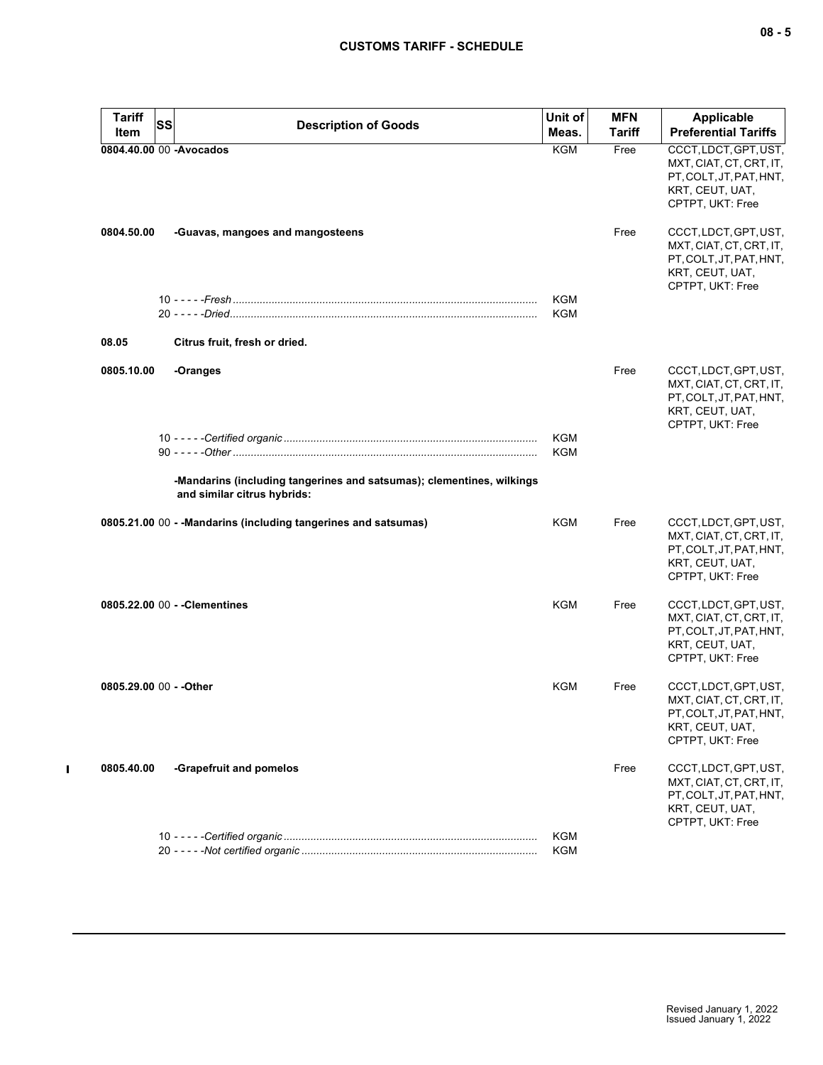| <b>Tariff</b><br><b>SS</b><br>Item | <b>Description of Goods</b>                                                                          | Unit of<br>Meas.  | <b>MFN</b><br><b>Tariff</b> | <b>Applicable</b><br><b>Preferential Tariffs</b>                                                                   |
|------------------------------------|------------------------------------------------------------------------------------------------------|-------------------|-----------------------------|--------------------------------------------------------------------------------------------------------------------|
| 0804.40.00 00 -Avocados            |                                                                                                      | <b>KGM</b>        | Free                        | CCCT, LDCT, GPT, UST,<br>MXT, CIAT, CT, CRT, IT,<br>PT, COLT, JT, PAT, HNT,<br>KRT, CEUT, UAT,<br>CPTPT, UKT: Free |
| 0804.50.00                         | -Guavas, mangoes and mangosteens                                                                     |                   | Free                        | CCCT, LDCT, GPT, UST,<br>MXT, CIAT, CT, CRT, IT,<br>PT, COLT, JT, PAT, HNT,<br>KRT, CEUT, UAT,<br>CPTPT, UKT: Free |
|                                    |                                                                                                      | <b>KGM</b><br>KGM |                             |                                                                                                                    |
| 08.05                              | Citrus fruit, fresh or dried.                                                                        |                   |                             |                                                                                                                    |
| 0805.10.00                         | -Oranges                                                                                             |                   | Free                        | CCCT, LDCT, GPT, UST,<br>MXT, CIAT, CT, CRT, IT,<br>PT, COLT, JT, PAT, HNT,<br>KRT, CEUT, UAT,<br>CPTPT, UKT: Free |
|                                    |                                                                                                      | KGM               |                             |                                                                                                                    |
|                                    | -Mandarins (including tangerines and satsumas); clementines, wilkings<br>and similar citrus hybrids: | KGM               |                             |                                                                                                                    |
|                                    | 0805.21.00 00 - - Mandarins (including tangerines and satsumas)                                      | KGM               | Free                        | CCCT, LDCT, GPT, UST,<br>MXT, CIAT, CT, CRT, IT,<br>PT, COLT, JT, PAT, HNT,<br>KRT, CEUT, UAT,<br>CPTPT, UKT: Free |
|                                    | 0805.22.00 00 - - Clementines                                                                        | <b>KGM</b>        | Free                        | CCCT, LDCT, GPT, UST,<br>MXT, CIAT, CT, CRT, IT,<br>PT, COLT, JT, PAT, HNT,<br>KRT, CEUT, UAT,<br>CPTPT, UKT: Free |
| 0805.29.00 00 - - Other            |                                                                                                      | KGM               | Free                        | CCCT, LDCT, GPT, UST,<br>MXT, CIAT, CT, CRT, IT,<br>PT, COLT, JT, PAT, HNT,<br>KRT, CEUT, UAT,<br>CPTPT, UKT: Free |
| 0805.40.00                         | -Grapefruit and pomelos                                                                              |                   | Free                        | CCCT, LDCT, GPT, UST,<br>MXT, CIAT, CT, CRT, IT,<br>PT, COLT, JT, PAT, HNT,<br>KRT, CEUT, UAT,<br>CPTPT, UKT: Free |
|                                    |                                                                                                      | KGM<br><b>KGM</b> |                             |                                                                                                                    |

 $\mathbf{I}$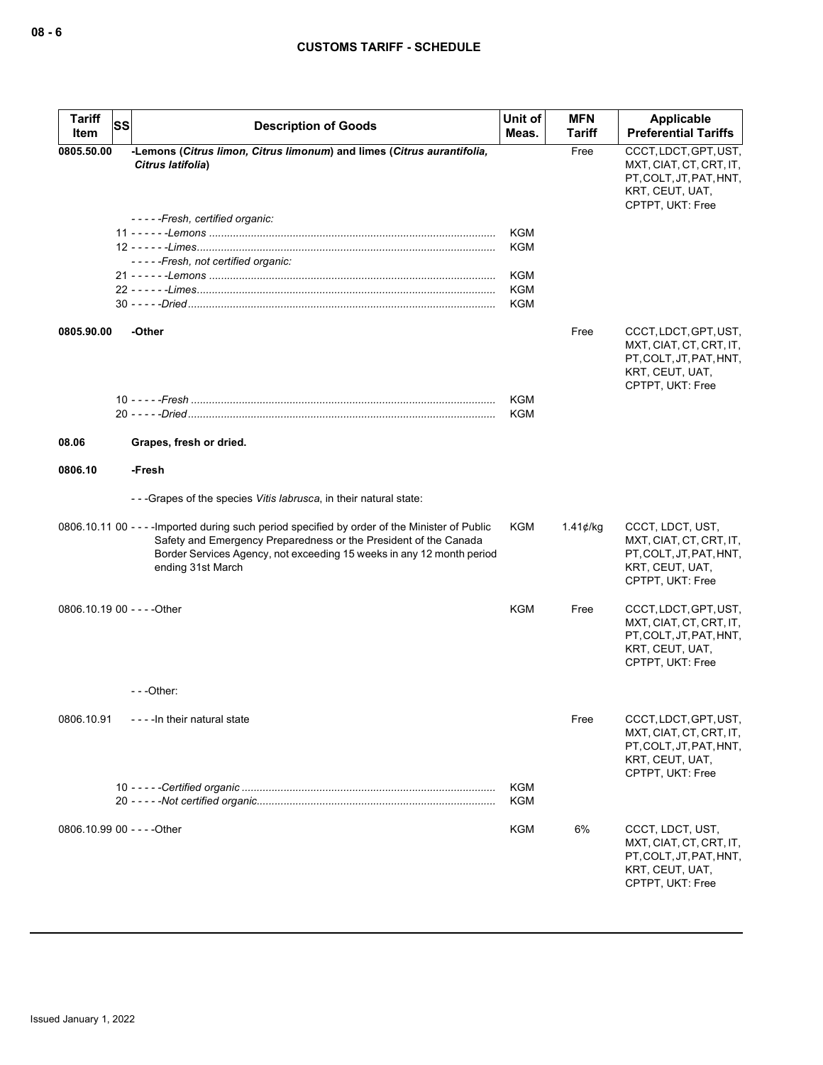| <b>Tariff</b><br>Item | SS<br><b>Description of Goods</b>                                                                                                                                                                                                                                | Unit of<br>Meas.         | MFN<br>Tariff      | <b>Applicable</b><br><b>Preferential Tariffs</b>                                                                   |
|-----------------------|------------------------------------------------------------------------------------------------------------------------------------------------------------------------------------------------------------------------------------------------------------------|--------------------------|--------------------|--------------------------------------------------------------------------------------------------------------------|
| 0805.50.00            | -Lemons (Citrus limon, Citrus limonum) and limes (Citrus aurantifolia,<br>Citrus latifolia)                                                                                                                                                                      |                          | Free               | CCCT, LDCT, GPT, UST,<br>MXT, CIAT, CT, CRT, IT,<br>PT, COLT, JT, PAT, HNT,<br>KRT, CEUT, UAT,<br>CPTPT, UKT: Free |
|                       | -----Fresh, certified organic:                                                                                                                                                                                                                                   |                          |                    |                                                                                                                    |
|                       |                                                                                                                                                                                                                                                                  | <b>KGM</b><br><b>KGM</b> |                    |                                                                                                                    |
|                       | -----Fresh, not certified organic:                                                                                                                                                                                                                               |                          |                    |                                                                                                                    |
|                       |                                                                                                                                                                                                                                                                  | KGM                      |                    |                                                                                                                    |
|                       |                                                                                                                                                                                                                                                                  | <b>KGM</b>               |                    |                                                                                                                    |
|                       |                                                                                                                                                                                                                                                                  | <b>KGM</b>               |                    |                                                                                                                    |
| 0805.90.00            | -Other                                                                                                                                                                                                                                                           |                          | Free               | CCCT, LDCT, GPT, UST,<br>MXT, CIAT, CT, CRT, IT,<br>PT, COLT, JT, PAT, HNT,<br>KRT, CEUT, UAT,<br>CPTPT, UKT: Free |
|                       |                                                                                                                                                                                                                                                                  | <b>KGM</b>               |                    |                                                                                                                    |
|                       |                                                                                                                                                                                                                                                                  | <b>KGM</b>               |                    |                                                                                                                    |
| 08.06                 | Grapes, fresh or dried.                                                                                                                                                                                                                                          |                          |                    |                                                                                                                    |
| 0806.10               | -Fresh                                                                                                                                                                                                                                                           |                          |                    |                                                                                                                    |
|                       | ---Grapes of the species Vitis labrusca, in their natural state:                                                                                                                                                                                                 |                          |                    |                                                                                                                    |
|                       | 0806.10.11 00 - - - - Imported during such period specified by order of the Minister of Public<br>Safety and Emergency Preparedness or the President of the Canada<br>Border Services Agency, not exceeding 15 weeks in any 12 month period<br>ending 31st March | KGM                      | 1.41 $\not\in$ /kg | CCCT, LDCT, UST,<br>MXT, CIAT, CT, CRT, IT,<br>PT, COLT, JT, PAT, HNT,<br>KRT, CEUT, UAT,<br>CPTPT, UKT: Free      |
|                       | 0806.10.19 00 - - - - Other                                                                                                                                                                                                                                      | <b>KGM</b>               | Free               | CCCT, LDCT, GPT, UST,<br>MXT, CIAT, CT, CRT, IT,<br>PT, COLT, JT, PAT, HNT,<br>KRT, CEUT, UAT,<br>CPTPT, UKT: Free |
|                       | ---Other:                                                                                                                                                                                                                                                        |                          |                    |                                                                                                                    |
| 0806.10.91            | - - - - In their natural state                                                                                                                                                                                                                                   |                          | Free               | CCCT, LDCT, GPT, UST,<br>MXT, CIAT, CT, CRT, IT,<br>PT, COLT, JT, PAT, HNT,<br>KRT, CEUT, UAT,<br>CPTPT, UKT: Free |
|                       |                                                                                                                                                                                                                                                                  | <b>KGM</b><br>KGM        |                    |                                                                                                                    |
|                       | 0806.10.99 00 - - - - Other                                                                                                                                                                                                                                      | KGM                      | 6%                 | CCCT, LDCT, UST,<br>MXT, CIAT, CT, CRT, IT,<br>PT, COLT, JT, PAT, HNT,<br>KRT, CEUT, UAT,<br>CPTPT, UKT: Free      |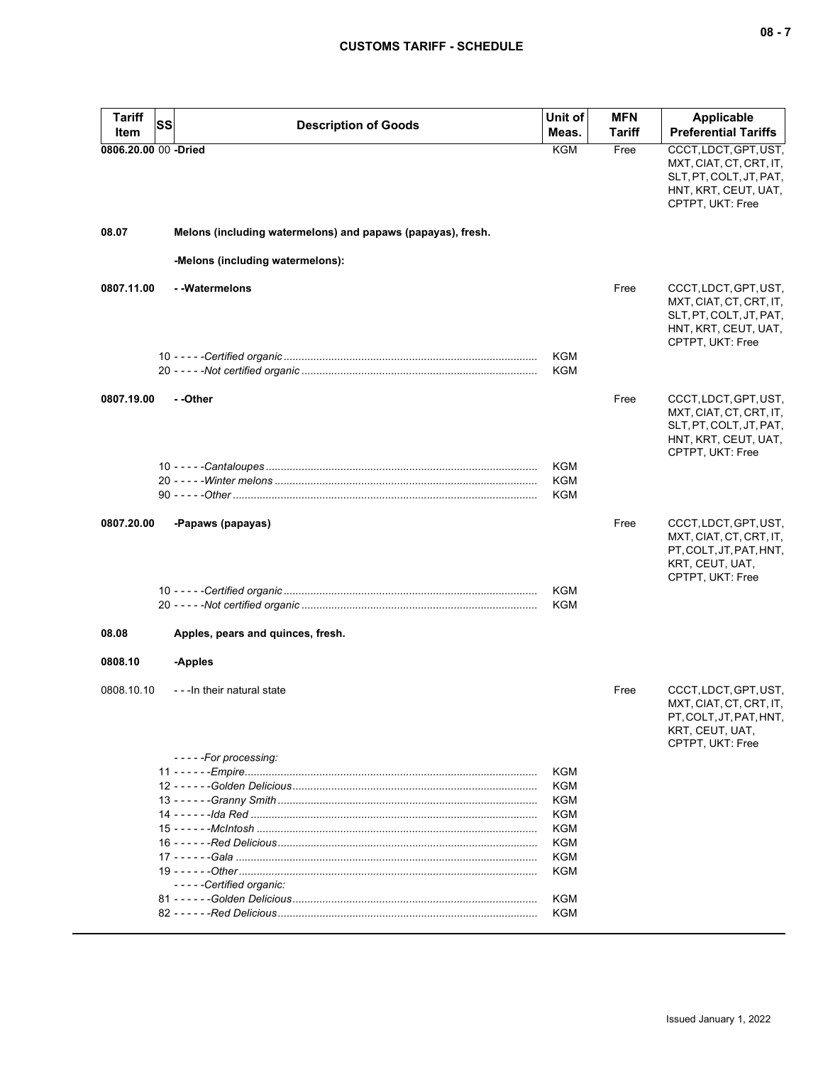| $\sim$<br>$\sim$ |  |  |
|------------------|--|--|
|------------------|--|--|

| <b>Tariff</b><br>Item | SS<br><b>Description of Goods</b>                           | Unit of<br>Meas.         | <b>MFN</b><br>Tariff | <b>Applicable</b><br><b>Preferential Tariffs</b>                                                                        |
|-----------------------|-------------------------------------------------------------|--------------------------|----------------------|-------------------------------------------------------------------------------------------------------------------------|
| 0806.20.00 00 -Dried  |                                                             | <b>KGM</b>               | Free                 | CCCT, LDCT, GPT, UST,<br>MXT, CIAT, CT, CRT, IT,<br>SLT, PT, COLT, JT, PAT,<br>HNT, KRT, CEUT, UAT,<br>CPTPT, UKT: Free |
| 08.07                 | Melons (including watermelons) and papaws (papayas), fresh. |                          |                      |                                                                                                                         |
|                       | -Melons (including watermelons):                            |                          |                      |                                                                                                                         |
| 0807.11.00            | - - Watermelons                                             |                          | Free                 | CCCT, LDCT, GPT, UST,<br>MXT, CIAT, CT, CRT, IT,<br>SLT, PT, COLT, JT, PAT,<br>HNT, KRT, CEUT, UAT,<br>CPTPT, UKT: Free |
|                       |                                                             | <b>KGM</b><br><b>KGM</b> |                      |                                                                                                                         |
| 0807.19.00            | - -Other                                                    |                          | Free                 | CCCT, LDCT, GPT, UST,<br>MXT, CIAT, CT, CRT, IT,<br>SLT, PT, COLT, JT, PAT,<br>HNT, KRT, CEUT, UAT,<br>CPTPT, UKT: Free |
|                       |                                                             | KGM<br>KGM<br>KGM        |                      |                                                                                                                         |
| 0807.20.00            | -Papaws (papayas)                                           |                          | Free                 | CCCT, LDCT, GPT, UST,<br>MXT, CIAT, CT, CRT, IT,<br>PT, COLT, JT, PAT, HNT,<br>KRT, CEUT, UAT,<br>CPTPT, UKT: Free      |
|                       |                                                             | KGM<br><b>KGM</b>        |                      |                                                                                                                         |
| 08.08                 | Apples, pears and quinces, fresh.                           |                          |                      |                                                                                                                         |
| 0808.10               | -Apples                                                     |                          |                      |                                                                                                                         |
| 0808.10.10            | - - - In their natural state                                |                          | Free                 | CCCT, LDCT, GPT, UST,<br>MXT, CIAT, CT, CRT, IT,<br>PT, COLT, JT, PAT, HNT,<br>KRT, CEUT, UAT,<br>CPTPT, UKT: Free      |
|                       | -----For processing:                                        |                          |                      |                                                                                                                         |
|                       |                                                             | <b>KGM</b><br><b>KGM</b> |                      |                                                                                                                         |
|                       |                                                             | KGM                      |                      |                                                                                                                         |
|                       |                                                             | KGM                      |                      |                                                                                                                         |
|                       |                                                             | KGM                      |                      |                                                                                                                         |
|                       |                                                             | <b>KGM</b>               |                      |                                                                                                                         |
|                       |                                                             | KGM                      |                      |                                                                                                                         |
|                       |                                                             | KGM                      |                      |                                                                                                                         |
|                       |                                                             |                          |                      |                                                                                                                         |
|                       | -----Certified organic:                                     | <b>KGM</b>               |                      |                                                                                                                         |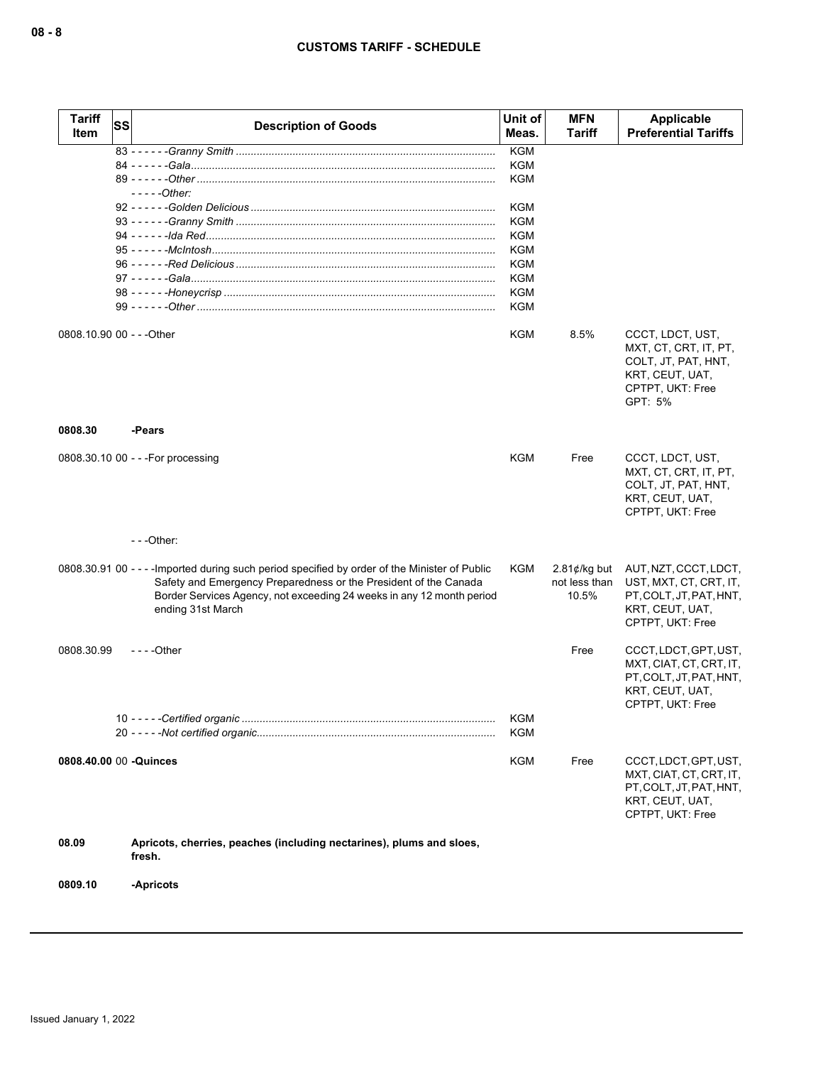| <b>Tariff</b><br>Item     | SS<br><b>Description of Goods</b>                                                                                                                                                                                                                                | Unit of<br>Meas.         | MFN<br><b>Tariff</b>                      | <b>Applicable</b><br><b>Preferential Tariffs</b>                                                                   |
|---------------------------|------------------------------------------------------------------------------------------------------------------------------------------------------------------------------------------------------------------------------------------------------------------|--------------------------|-------------------------------------------|--------------------------------------------------------------------------------------------------------------------|
|                           |                                                                                                                                                                                                                                                                  | <b>KGM</b>               |                                           |                                                                                                                    |
|                           |                                                                                                                                                                                                                                                                  | <b>KGM</b>               |                                           |                                                                                                                    |
|                           |                                                                                                                                                                                                                                                                  | <b>KGM</b>               |                                           |                                                                                                                    |
|                           | - - - - -Other:                                                                                                                                                                                                                                                  |                          |                                           |                                                                                                                    |
|                           |                                                                                                                                                                                                                                                                  | <b>KGM</b>               |                                           |                                                                                                                    |
|                           |                                                                                                                                                                                                                                                                  | <b>KGM</b>               |                                           |                                                                                                                    |
|                           |                                                                                                                                                                                                                                                                  | <b>KGM</b>               |                                           |                                                                                                                    |
|                           |                                                                                                                                                                                                                                                                  | KGM                      |                                           |                                                                                                                    |
|                           |                                                                                                                                                                                                                                                                  | <b>KGM</b>               |                                           |                                                                                                                    |
|                           |                                                                                                                                                                                                                                                                  | <b>KGM</b>               |                                           |                                                                                                                    |
|                           |                                                                                                                                                                                                                                                                  | <b>KGM</b><br><b>KGM</b> |                                           |                                                                                                                    |
|                           |                                                                                                                                                                                                                                                                  |                          |                                           |                                                                                                                    |
| 0808.10.90 00 - - - Other |                                                                                                                                                                                                                                                                  | <b>KGM</b>               | 8.5%                                      | CCCT, LDCT, UST,<br>MXT, CT, CRT, IT, PT,<br>COLT, JT, PAT, HNT,<br>KRT, CEUT, UAT,<br>CPTPT, UKT: Free<br>GPT: 5% |
| 0808.30                   | -Pears                                                                                                                                                                                                                                                           |                          |                                           |                                                                                                                    |
|                           | 0808.30.10 00 - - - For processing                                                                                                                                                                                                                               | <b>KGM</b>               | Free                                      | CCCT, LDCT, UST,<br>MXT, CT, CRT, IT, PT,<br>COLT, JT, PAT, HNT,<br>KRT, CEUT, UAT,<br>CPTPT, UKT: Free            |
|                           | $--$ Other:                                                                                                                                                                                                                                                      |                          |                                           |                                                                                                                    |
|                           | 0808.30.91 00 - - - - Imported during such period specified by order of the Minister of Public<br>Safety and Emergency Preparedness or the President of the Canada<br>Border Services Agency, not exceeding 24 weeks in any 12 month period<br>ending 31st March | KGM                      | $2.81$ ¢/kg but<br>not less than<br>10.5% | AUT, NZT, CCCT, LDCT,<br>UST, MXT, CT, CRT, IT,<br>PT, COLT, JT, PAT, HNT,<br>KRT, CEUT, UAT,<br>CPTPT, UKT: Free  |
| 0808.30.99                | $- - -$ Other                                                                                                                                                                                                                                                    |                          | Free                                      | CCCT, LDCT, GPT, UST,<br>MXT, CIAT, CT, CRT, IT,<br>PT, COLT, JT, PAT, HNT,<br>KRT, CEUT, UAT,<br>CPTPT, UKT: Free |
|                           |                                                                                                                                                                                                                                                                  | KGM<br><b>KGM</b>        |                                           |                                                                                                                    |
| 0808.40.00 00 -Quinces    |                                                                                                                                                                                                                                                                  | <b>KGM</b>               | Free                                      | CCCT, LDCT, GPT, UST,<br>MXT, CIAT, CT, CRT, IT,<br>PT, COLT, JT, PAT, HNT,<br>KRT, CEUT, UAT,<br>CPTPT, UKT: Free |
| 08.09                     | Apricots, cherries, peaches (including nectarines), plums and sloes,<br>fresh.                                                                                                                                                                                   |                          |                                           |                                                                                                                    |
| 0809.10                   | -Apricots                                                                                                                                                                                                                                                        |                          |                                           |                                                                                                                    |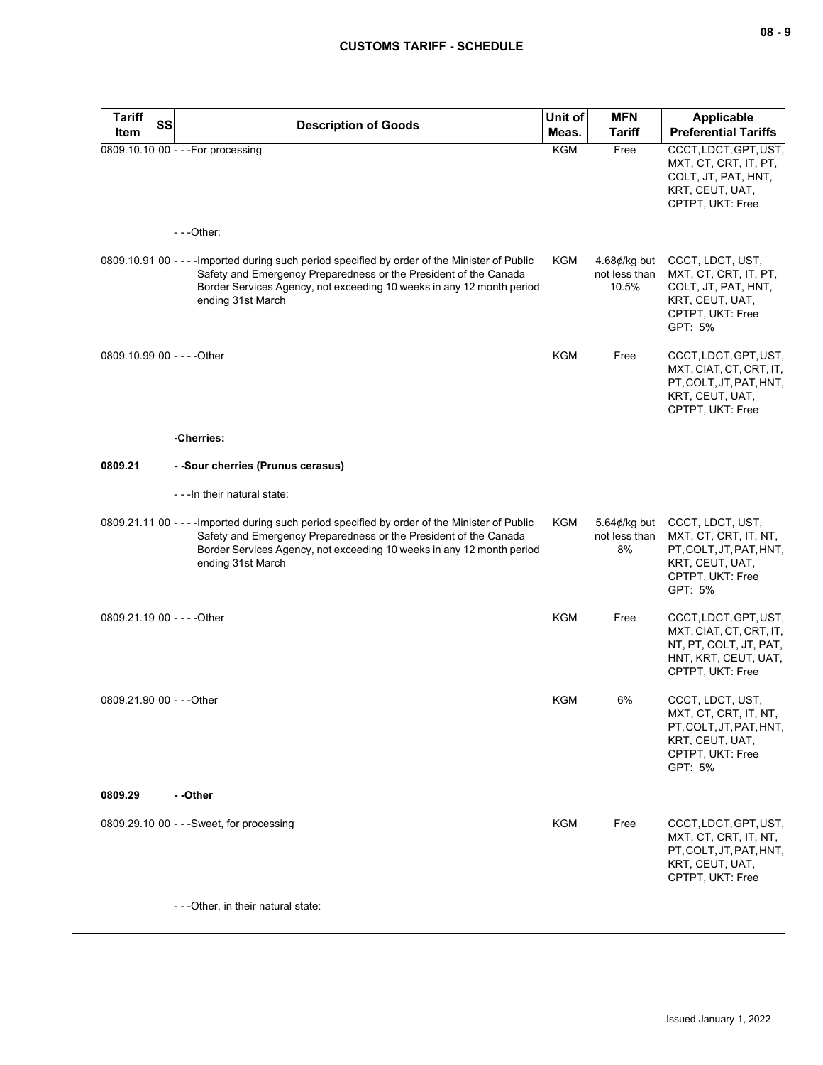| <b>Tariff</b><br>SS         | <b>Description of Goods</b>                                                                                                                                                                                                                                      | Unit of    | <b>MFN</b>                                       | <b>Applicable</b>                                                                                                      |
|-----------------------------|------------------------------------------------------------------------------------------------------------------------------------------------------------------------------------------------------------------------------------------------------------------|------------|--------------------------------------------------|------------------------------------------------------------------------------------------------------------------------|
| Item                        |                                                                                                                                                                                                                                                                  | Meas.      | <b>Tariff</b>                                    | <b>Preferential Tariffs</b>                                                                                            |
|                             | 0809.10.10 00 - - - For processing                                                                                                                                                                                                                               | <b>KGM</b> | Free                                             | CCCT, LDCT, GPT, UST,<br>MXT, CT, CRT, IT, PT,<br>COLT, JT, PAT, HNT,<br>KRT, CEUT, UAT,<br>CPTPT, UKT: Free           |
|                             | $- -$ Other:                                                                                                                                                                                                                                                     |            |                                                  |                                                                                                                        |
|                             | 0809.10.91 00 - - - - Imported during such period specified by order of the Minister of Public<br>Safety and Emergency Preparedness or the President of the Canada<br>Border Services Agency, not exceeding 10 weeks in any 12 month period<br>ending 31st March | KGM        | 4.68 $\not\in$ /kg but<br>not less than<br>10.5% | CCCT, LDCT, UST,<br>MXT, CT, CRT, IT, PT,<br>COLT, JT, PAT, HNT,<br>KRT, CEUT, UAT,<br>CPTPT, UKT: Free<br>GPT: 5%     |
| 0809.10.99 00 - - - - Other |                                                                                                                                                                                                                                                                  | KGM        | Free                                             | CCCT, LDCT, GPT, UST,<br>MXT, CIAT, CT, CRT, IT,<br>PT, COLT, JT, PAT, HNT,<br>KRT, CEUT, UAT,<br>CPTPT, UKT: Free     |
|                             | -Cherries:                                                                                                                                                                                                                                                       |            |                                                  |                                                                                                                        |
| 0809.21                     | - -Sour cherries (Prunus cerasus)                                                                                                                                                                                                                                |            |                                                  |                                                                                                                        |
|                             | - - - In their natural state:                                                                                                                                                                                                                                    |            |                                                  |                                                                                                                        |
|                             | 0809.21.11 00 - - - - Imported during such period specified by order of the Minister of Public<br>Safety and Emergency Preparedness or the President of the Canada<br>Border Services Agency, not exceeding 10 weeks in any 12 month period<br>ending 31st March | KGM        | 5.64 $\phi$ /kg but<br>not less than<br>8%       | CCCT, LDCT, UST,<br>MXT, CT, CRT, IT, NT,<br>PT, COLT, JT, PAT, HNT,<br>KRT, CEUT, UAT,<br>CPTPT, UKT: Free<br>GPT: 5% |
| 0809.21.19 00 - - - - Other |                                                                                                                                                                                                                                                                  | KGM        | Free                                             | CCCT, LDCT, GPT, UST,<br>MXT, CIAT, CT, CRT, IT,<br>NT, PT, COLT, JT, PAT,<br>HNT, KRT, CEUT, UAT,<br>CPTPT, UKT: Free |
| 0809.21.90 00 - - - Other   |                                                                                                                                                                                                                                                                  | KGM        | 6%                                               | CCCT, LDCT, UST,<br>MXT, CT, CRT, IT, NT,<br>PT, COLT, JT, PAT, HNT,<br>KRT, CEUT, UAT,<br>CPTPT, UKT: Free<br>GPT: 5% |
| 0809.29                     | - -Other                                                                                                                                                                                                                                                         |            |                                                  |                                                                                                                        |
|                             | 0809.29.10 00 - - - Sweet, for processing                                                                                                                                                                                                                        | KGM        | Free                                             | CCCT, LDCT, GPT, UST,<br>MXT, CT, CRT, IT, NT,<br>PT, COLT, JT, PAT, HNT,<br>KRT, CEUT, UAT,<br>CPTPT, UKT: Free       |
|                             | ---Other, in their natural state:                                                                                                                                                                                                                                |            |                                                  |                                                                                                                        |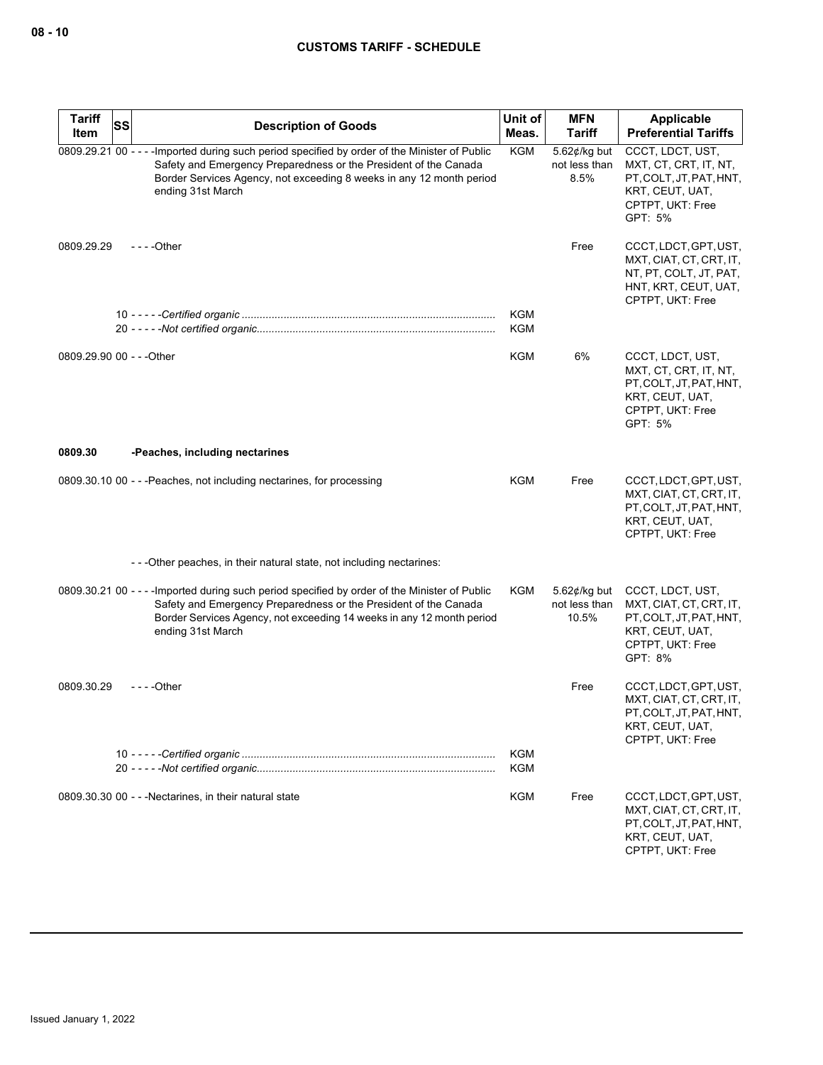| <b>Tariff</b><br>Item     | SS | <b>Description of Goods</b>                                                                                                                                                                                                                                      | Unit of<br>Meas.         | <b>MFN</b><br><b>Tariff</b>                | Applicable<br><b>Preferential Tariffs</b>                                                                                         |
|---------------------------|----|------------------------------------------------------------------------------------------------------------------------------------------------------------------------------------------------------------------------------------------------------------------|--------------------------|--------------------------------------------|-----------------------------------------------------------------------------------------------------------------------------------|
|                           |    | 0809.29.21 00 - - - - Imported during such period specified by order of the Minister of Public<br>Safety and Emergency Preparedness or the President of the Canada<br>Border Services Agency, not exceeding 8 weeks in any 12 month period<br>ending 31st March  | <b>KGM</b>               | 5.62 $¢$ /kg but<br>not less than<br>8.5%  | CCCT, LDCT, UST,<br>MXT, CT, CRT, IT, NT,<br>PT, COLT, JT, PAT, HNT,<br>KRT, CEUT, UAT,<br>CPTPT, UKT: Free                       |
| 0809.29.29                |    | $--$ Other                                                                                                                                                                                                                                                       |                          | Free                                       | GPT: 5%<br>CCCT, LDCT, GPT, UST,<br>MXT, CIAT, CT, CRT, IT,<br>NT, PT, COLT, JT, PAT,<br>HNT, KRT, CEUT, UAT,<br>CPTPT, UKT: Free |
|                           |    |                                                                                                                                                                                                                                                                  | KGM<br>KGM               |                                            |                                                                                                                                   |
| 0809.29.90 00 - - - Other |    |                                                                                                                                                                                                                                                                  | <b>KGM</b>               | 6%                                         | CCCT, LDCT, UST,<br>MXT, CT, CRT, IT, NT,<br>PT, COLT, JT, PAT, HNT,<br>KRT, CEUT, UAT,<br>CPTPT, UKT: Free<br>GPT: 5%            |
| 0809.30                   |    | -Peaches, including nectarines                                                                                                                                                                                                                                   |                          |                                            |                                                                                                                                   |
|                           |    | 0809.30.10 00 - - - Peaches, not including nectarines, for processing                                                                                                                                                                                            | <b>KGM</b>               | Free                                       | CCCT, LDCT, GPT, UST,<br>MXT, CIAT, CT, CRT, IT,<br>PT, COLT, JT, PAT, HNT,<br>KRT, CEUT, UAT,<br>CPTPT, UKT: Free                |
|                           |    | - - - Other peaches, in their natural state, not including nectarines:                                                                                                                                                                                           |                          |                                            |                                                                                                                                   |
|                           |    | 0809.30.21 00 - - - - Imported during such period specified by order of the Minister of Public<br>Safety and Emergency Preparedness or the President of the Canada<br>Border Services Agency, not exceeding 14 weeks in any 12 month period<br>ending 31st March | KGM                      | 5.62 $¢$ /kg but<br>not less than<br>10.5% | CCCT, LDCT, UST,<br>MXT, CIAT, CT, CRT, IT,<br>PT, COLT, JT, PAT, HNT,<br>KRT, CEUT, UAT,<br>CPTPT, UKT: Free<br>GPT: 8%          |
| 0809.30.29                |    | - - - -Other                                                                                                                                                                                                                                                     |                          | Free                                       | CCCT, LDCT, GPT, UST,<br>MXT, CIAT, CT, CRT, IT,<br>PT, COLT, JT, PAT, HNT,<br>KRT, CEUT, UAT,<br>CPTPT, UKT: Free                |
|                           |    |                                                                                                                                                                                                                                                                  | <b>KGM</b><br><b>KGM</b> |                                            |                                                                                                                                   |
|                           |    | 0809.30.30 00 - - - Nectarines, in their natural state                                                                                                                                                                                                           | KGM                      | Free                                       | CCCT, LDCT, GPT, UST,<br>MXT, CIAT, CT, CRT, IT,<br>PT, COLT, JT, PAT, HNT,<br>KRT, CEUT, UAT,<br>CPTPT, UKT: Free                |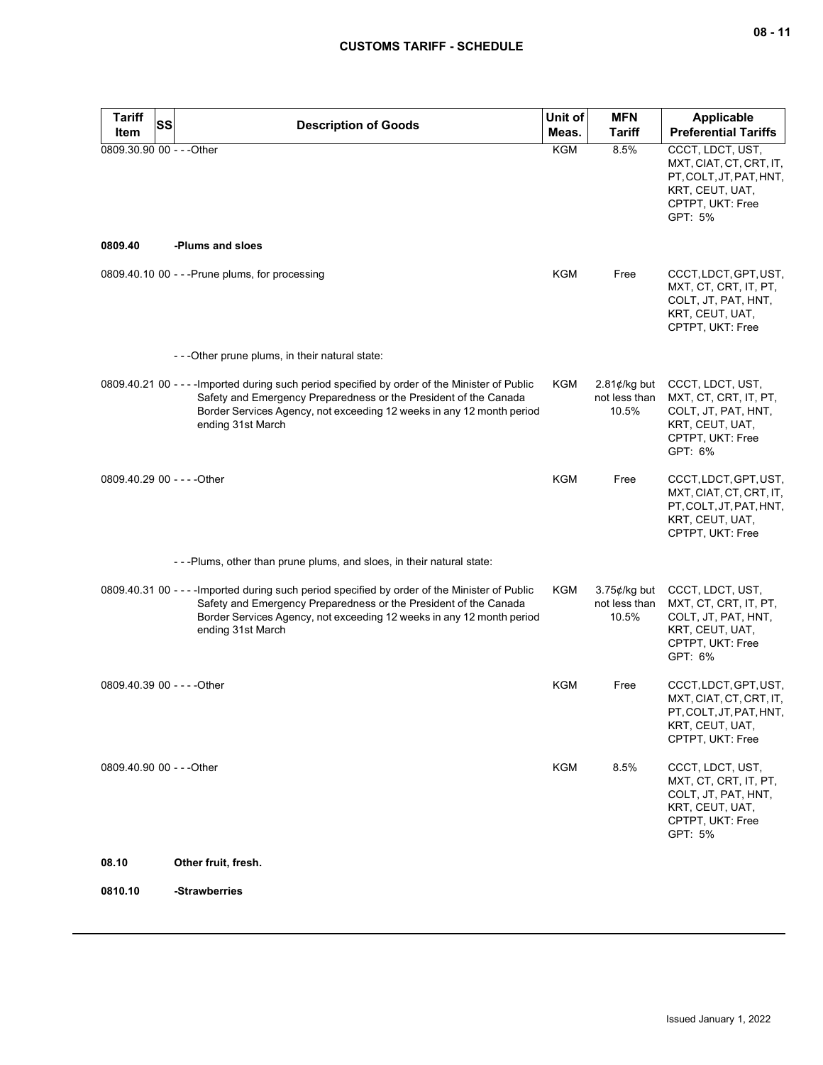| <b>Tariff</b><br>SS<br>Item | <b>Description of Goods</b>                                                                                                                                                                                                                                      | Unit of<br>Meas. | <b>MFN</b><br><b>Tariff</b>                      | <b>Applicable</b><br><b>Preferential Tariffs</b>                                                                     |
|-----------------------------|------------------------------------------------------------------------------------------------------------------------------------------------------------------------------------------------------------------------------------------------------------------|------------------|--------------------------------------------------|----------------------------------------------------------------------------------------------------------------------|
| 0809.30.90 00 - - - Other   |                                                                                                                                                                                                                                                                  | <b>KGM</b>       | 8.5%                                             | CCCT, LDCT, UST,<br>MXT, CIAT, CT, CRT, IT,<br>PT.COLT.JT.PAT.HNT.<br>KRT, CEUT, UAT,<br>CPTPT, UKT: Free<br>GPT: 5% |
| 0809.40                     | -Plums and sloes                                                                                                                                                                                                                                                 |                  |                                                  |                                                                                                                      |
|                             | 0809.40.10 00 - - - Prune plums, for processing                                                                                                                                                                                                                  | <b>KGM</b>       | Free                                             | CCCT, LDCT, GPT, UST,<br>MXT, CT, CRT, IT, PT,<br>COLT, JT, PAT, HNT,<br>KRT, CEUT, UAT,<br>CPTPT, UKT: Free         |
|                             | - - - Other prune plums, in their natural state:                                                                                                                                                                                                                 |                  |                                                  |                                                                                                                      |
|                             | 0809.40.21 00 - - - - Imported during such period specified by order of the Minister of Public<br>Safety and Emergency Preparedness or the President of the Canada<br>Border Services Agency, not exceeding 12 weeks in any 12 month period<br>ending 31st March | KGM              | 2.81 $\not\in$ /kg but<br>not less than<br>10.5% | CCCT, LDCT, UST,<br>MXT, CT, CRT, IT, PT,<br>COLT, JT, PAT, HNT,<br>KRT, CEUT, UAT,<br>CPTPT, UKT: Free<br>GPT: 6%   |
| 0809.40.29 00 - - - - Other |                                                                                                                                                                                                                                                                  | <b>KGM</b>       | Free                                             | CCCT, LDCT, GPT, UST,<br>MXT, CIAT, CT, CRT, IT,<br>PT, COLT, JT, PAT, HNT,<br>KRT, CEUT, UAT,<br>CPTPT, UKT: Free   |
|                             | - - - Plums, other than prune plums, and sloes, in their natural state:                                                                                                                                                                                          |                  |                                                  |                                                                                                                      |
|                             | 0809.40.31 00 - - - - Imported during such period specified by order of the Minister of Public<br>Safety and Emergency Preparedness or the President of the Canada<br>Border Services Agency, not exceeding 12 weeks in any 12 month period<br>ending 31st March | KGM              | $3.75$ ¢/kg but<br>not less than<br>10.5%        | CCCT, LDCT, UST,<br>MXT, CT, CRT, IT, PT,<br>COLT, JT, PAT, HNT,<br>KRT, CEUT, UAT,<br>CPTPT, UKT: Free<br>GPT: 6%   |
| 0809.40.39 00 - - - - Other |                                                                                                                                                                                                                                                                  | <b>KGM</b>       | Free                                             | CCCT, LDCT, GPT, UST,<br>MXT, CIAT, CT, CRT, IT,<br>PT, COLT, JT, PAT, HNT,<br>KRT, CEUT, UAT,<br>CPTPT, UKT: Free   |
| 0809.40.90 00 - - - Other   |                                                                                                                                                                                                                                                                  | KGM              | 8.5%                                             | CCCT, LDCT, UST,<br>MXT, CT, CRT, IT, PT,<br>COLT, JT, PAT, HNT,<br>KRT, CEUT, UAT,<br>CPTPT, UKT: Free<br>GPT: 5%   |
| 08.10                       | Other fruit, fresh.                                                                                                                                                                                                                                              |                  |                                                  |                                                                                                                      |
| 0810.10                     | -Strawberries                                                                                                                                                                                                                                                    |                  |                                                  |                                                                                                                      |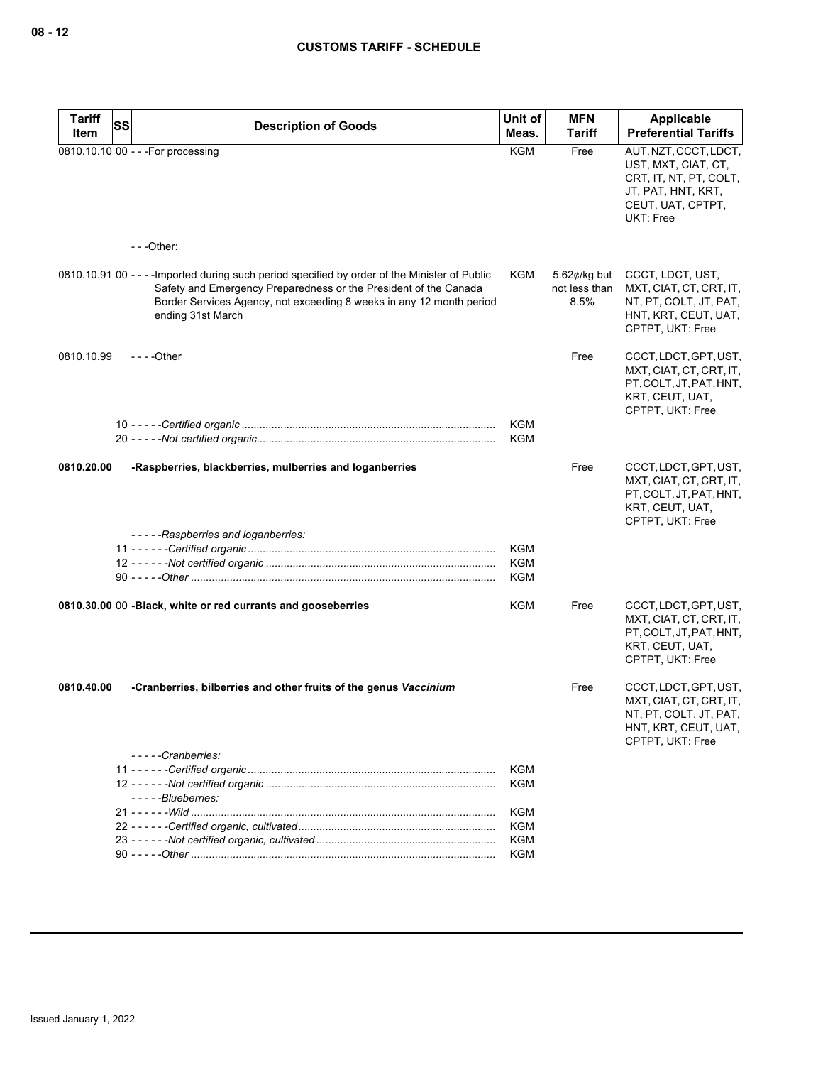| <b>Tariff</b> | <b>SS</b><br><b>Description of Goods</b>                                                                                                                                                                                                                        | Unit of    | <b>MFN</b>                                   | Applicable                                                                                                                     |
|---------------|-----------------------------------------------------------------------------------------------------------------------------------------------------------------------------------------------------------------------------------------------------------------|------------|----------------------------------------------|--------------------------------------------------------------------------------------------------------------------------------|
| Item          |                                                                                                                                                                                                                                                                 | Meas.      | <b>Tariff</b>                                | <b>Preferential Tariffs</b>                                                                                                    |
|               | 0810.10.10 00 - - - For processing<br>- - -Other:                                                                                                                                                                                                               | <b>KGM</b> | Free                                         | AUT, NZT, CCCT, LDCT,<br>UST, MXT, CIAT, CT,<br>CRT, IT, NT, PT, COLT,<br>JT, PAT, HNT, KRT,<br>CEUT, UAT, CPTPT,<br>UKT: Free |
|               |                                                                                                                                                                                                                                                                 |            |                                              |                                                                                                                                |
|               | 0810.10.91 00 - - - - Imported during such period specified by order of the Minister of Public<br>Safety and Emergency Preparedness or the President of the Canada<br>Border Services Agency, not exceeding 8 weeks in any 12 month period<br>ending 31st March | KGM        | 5.62 $\phi$ /kg but<br>not less than<br>8.5% | CCCT, LDCT, UST,<br>MXT, CIAT, CT, CRT, IT,<br>NT, PT, COLT, JT, PAT,<br>HNT, KRT, CEUT, UAT,<br>CPTPT, UKT: Free              |
| 0810.10.99    | $--$ Other                                                                                                                                                                                                                                                      |            | Free                                         | CCCT, LDCT, GPT, UST,<br>MXT, CIAT, CT, CRT, IT,<br>PT, COLT, JT, PAT, HNT,<br>KRT, CEUT, UAT,<br>CPTPT, UKT: Free             |
|               |                                                                                                                                                                                                                                                                 | <b>KGM</b> |                                              |                                                                                                                                |
|               |                                                                                                                                                                                                                                                                 | <b>KGM</b> |                                              |                                                                                                                                |
| 0810.20.00    | -Raspberries, blackberries, mulberries and loganberries                                                                                                                                                                                                         |            | Free                                         | CCCT, LDCT, GPT, UST,<br>MXT, CIAT, CT, CRT, IT,<br>PT, COLT, JT, PAT, HNT,<br>KRT, CEUT, UAT,<br>CPTPT, UKT: Free             |
|               | -----Raspberries and loganberries:                                                                                                                                                                                                                              |            |                                              |                                                                                                                                |
|               |                                                                                                                                                                                                                                                                 | <b>KGM</b> |                                              |                                                                                                                                |
|               |                                                                                                                                                                                                                                                                 | KGM        |                                              |                                                                                                                                |
|               |                                                                                                                                                                                                                                                                 | <b>KGM</b> |                                              |                                                                                                                                |
|               | 0810.30.00 00 -Black, white or red currants and gooseberries                                                                                                                                                                                                    | <b>KGM</b> | Free                                         | CCCT, LDCT, GPT, UST,<br>MXT, CIAT, CT, CRT, IT,<br>PT, COLT, JT, PAT, HNT,<br>KRT, CEUT, UAT,<br>CPTPT, UKT: Free             |
| 0810.40.00    | -Cranberries, bilberries and other fruits of the genus Vaccinium                                                                                                                                                                                                |            | Free                                         | CCCT, LDCT, GPT, UST,<br>MXT, CIAT, CT, CRT, IT,<br>NT, PT, COLT, JT, PAT,<br>HNT, KRT, CEUT, UAT,<br>CPTPT, UKT: Free         |
|               | -----Cranberries:                                                                                                                                                                                                                                               |            |                                              |                                                                                                                                |
|               |                                                                                                                                                                                                                                                                 | <b>KGM</b> |                                              |                                                                                                                                |
|               | - - - - - Blueberries:                                                                                                                                                                                                                                          | <b>KGM</b> |                                              |                                                                                                                                |
|               |                                                                                                                                                                                                                                                                 | KGM        |                                              |                                                                                                                                |
|               |                                                                                                                                                                                                                                                                 | <b>KGM</b> |                                              |                                                                                                                                |
|               |                                                                                                                                                                                                                                                                 | <b>KGM</b> |                                              |                                                                                                                                |
|               |                                                                                                                                                                                                                                                                 | KGM        |                                              |                                                                                                                                |
|               |                                                                                                                                                                                                                                                                 |            |                                              |                                                                                                                                |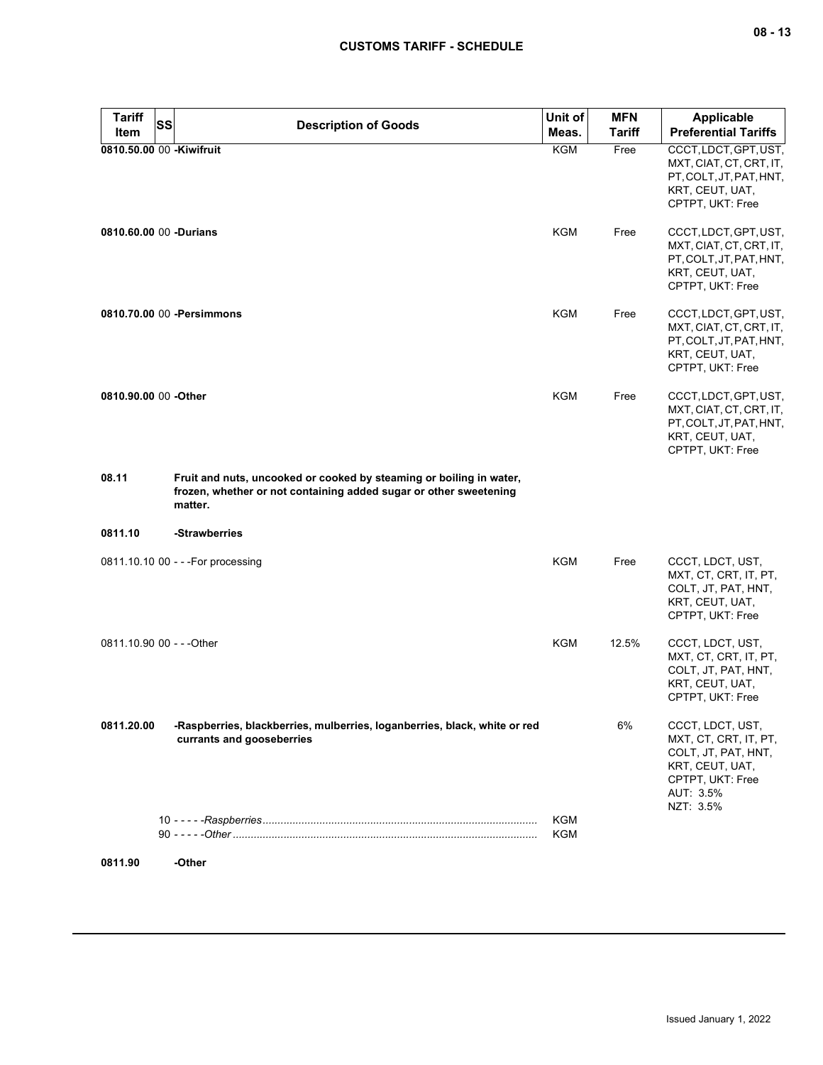| <b>Tariff</b><br>Item     | <b>SS</b> | <b>Description of Goods</b>                                                                                                                         | Unit of       | <b>MFN</b>                  | <b>Applicable</b>                                                                                                                 |
|---------------------------|-----------|-----------------------------------------------------------------------------------------------------------------------------------------------------|---------------|-----------------------------|-----------------------------------------------------------------------------------------------------------------------------------|
|                           |           | Meas.                                                                                                                                               | <b>Tariff</b> | <b>Preferential Tariffs</b> |                                                                                                                                   |
| 0810.50.00 00 -Kiwifruit  |           |                                                                                                                                                     | <b>KGM</b>    | Free                        | CCCT, LDCT, GPT, UST,<br>MXT, CIAT, CT, CRT, IT,<br>PT, COLT, JT, PAT, HNT,<br>KRT, CEUT, UAT,<br>CPTPT, UKT: Free                |
| 0810.60.00 00 -Durians    |           |                                                                                                                                                     | <b>KGM</b>    | Free                        | CCCT, LDCT, GPT, UST,<br>MXT, CIAT, CT, CRT, IT,<br>PT, COLT, JT, PAT, HNT,<br>KRT, CEUT, UAT,<br>CPTPT, UKT: Free                |
|                           |           | 0810.70.00 00 - Persimmons                                                                                                                          | <b>KGM</b>    | Free                        | CCCT, LDCT, GPT, UST,<br>MXT, CIAT, CT, CRT, IT,<br>PT, COLT, JT, PAT, HNT,<br>KRT, CEUT, UAT,<br>CPTPT, UKT: Free                |
| 0810.90.00 00 -Other      |           |                                                                                                                                                     | <b>KGM</b>    | Free                        | CCCT, LDCT, GPT, UST,<br>MXT, CIAT, CT, CRT, IT,<br>PT, COLT, JT, PAT, HNT,<br>KRT, CEUT, UAT,<br>CPTPT, UKT: Free                |
| 08.11                     |           | Fruit and nuts, uncooked or cooked by steaming or boiling in water,<br>frozen, whether or not containing added sugar or other sweetening<br>matter. |               |                             |                                                                                                                                   |
| 0811.10                   |           | -Strawberries                                                                                                                                       |               |                             |                                                                                                                                   |
|                           |           | 0811.10.10 00 - - - For processing                                                                                                                  | <b>KGM</b>    | Free                        | CCCT, LDCT, UST,<br>MXT, CT, CRT, IT, PT,<br>COLT, JT, PAT, HNT,<br>KRT, CEUT, UAT,<br>CPTPT, UKT: Free                           |
| 0811.10.90 00 - - - Other |           |                                                                                                                                                     | <b>KGM</b>    | 12.5%                       | CCCT, LDCT, UST,<br>MXT, CT, CRT, IT, PT,<br>COLT, JT, PAT, HNT,<br>KRT, CEUT, UAT,<br>CPTPT, UKT: Free                           |
| 0811.20.00                |           | -Raspberries, blackberries, mulberries, loganberries, black, white or red<br>currants and gooseberries                                              |               | 6%                          | CCCT, LDCT, UST,<br>MXT, CT, CRT, IT, PT,<br>COLT, JT, PAT, HNT,<br>KRT, CEUT, UAT,<br>CPTPT, UKT: Free<br>AUT: 3.5%<br>NZT: 3.5% |
|                           |           |                                                                                                                                                     | KGM<br>KGM    |                             |                                                                                                                                   |
| 0811.90                   |           | -Other                                                                                                                                              |               |                             |                                                                                                                                   |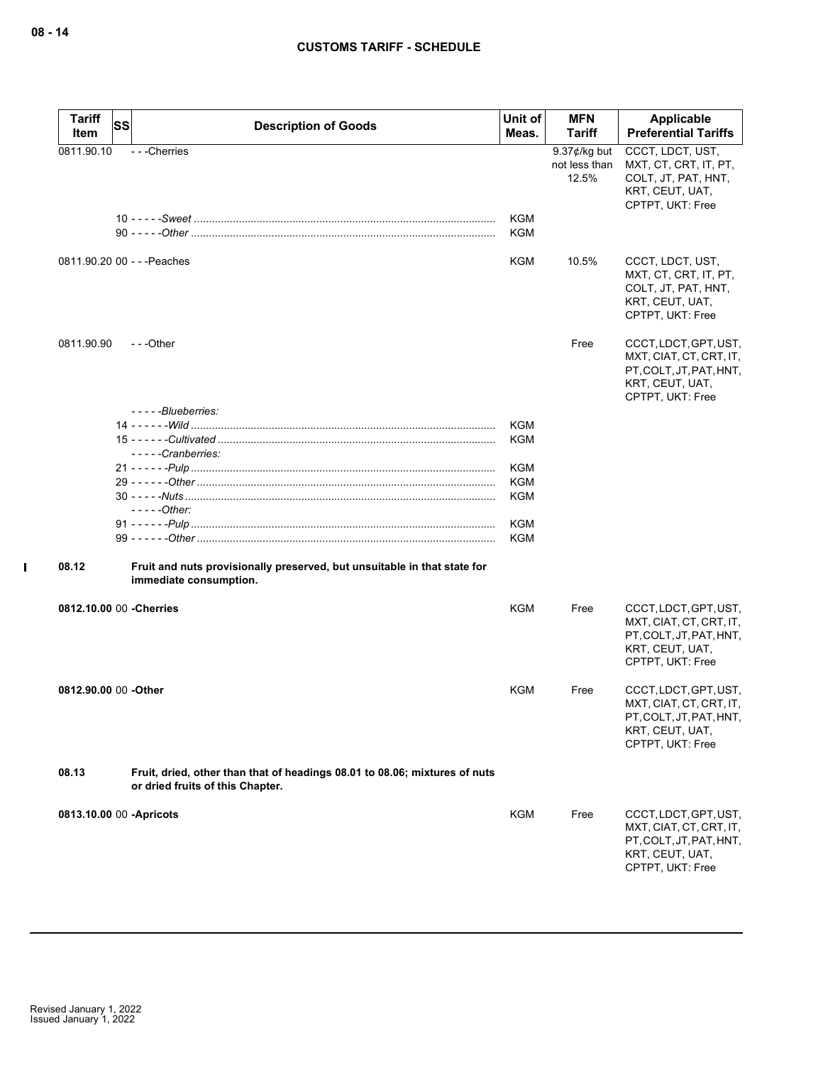| <b>Tariff</b>        | SS                                                                                                             | Unit of                  | <b>MFN</b>                                | Applicable                                                                                                         |
|----------------------|----------------------------------------------------------------------------------------------------------------|--------------------------|-------------------------------------------|--------------------------------------------------------------------------------------------------------------------|
| Item                 | <b>Description of Goods</b>                                                                                    | Meas.                    | <b>Tariff</b>                             | <b>Preferential Tariffs</b>                                                                                        |
| 0811.90.10           | - - - Cherries                                                                                                 |                          | $9.37$ ¢/kg but<br>not less than<br>12.5% | CCCT, LDCT, UST,<br>MXT, CT, CRT, IT, PT,<br>COLT, JT, PAT, HNT,<br>KRT, CEUT, UAT,<br>CPTPT, UKT: Free            |
|                      |                                                                                                                | <b>KGM</b><br><b>KGM</b> |                                           |                                                                                                                    |
|                      | 0811.90.20 00 - - - Peaches                                                                                    | KGM                      | 10.5%                                     | CCCT, LDCT, UST,<br>MXT, CT, CRT, IT, PT,<br>COLT, JT, PAT, HNT,<br>KRT, CEUT, UAT,<br>CPTPT, UKT: Free            |
| 0811.90.90           | ---Other                                                                                                       |                          | Free                                      | CCCT, LDCT, GPT, UST,<br>MXT, CIAT, CT, CRT, IT,<br>PT, COLT, JT, PAT, HNT,<br>KRT, CEUT, UAT,<br>CPTPT, UKT: Free |
|                      | -----Blueberries:                                                                                              |                          |                                           |                                                                                                                    |
|                      |                                                                                                                | KGM<br><b>KGM</b>        |                                           |                                                                                                                    |
|                      | -----Cranberries:                                                                                              |                          |                                           |                                                                                                                    |
|                      |                                                                                                                | KGM                      |                                           |                                                                                                                    |
|                      |                                                                                                                | KGM                      |                                           |                                                                                                                    |
|                      |                                                                                                                | <b>KGM</b>               |                                           |                                                                                                                    |
|                      | $---Other:$                                                                                                    |                          |                                           |                                                                                                                    |
|                      |                                                                                                                | <b>KGM</b>               |                                           |                                                                                                                    |
|                      |                                                                                                                | <b>KGM</b>               |                                           |                                                                                                                    |
| 08.12                | Fruit and nuts provisionally preserved, but unsuitable in that state for<br>immediate consumption.             |                          |                                           |                                                                                                                    |
|                      | 0812.10.00 00 - Cherries                                                                                       | KGM                      | Free                                      | CCCT, LDCT, GPT, UST,<br>MXT, CIAT, CT, CRT, IT,<br>PT, COLT, JT, PAT, HNT,<br>KRT, CEUT, UAT,<br>CPTPT, UKT: Free |
| 0812.90.00 00 -Other |                                                                                                                | KGM                      | Free                                      | CCCT, LDCT, GPT, UST,<br>MXT, CIAT, CT, CRT, IT,<br>PT, COLT, JT, PAT, HNT,<br>KRT, CEUT, UAT,<br>CPTPT, UKT: Free |
| 08.13                | Fruit, dried, other than that of headings 08.01 to 08.06; mixtures of nuts<br>or dried fruits of this Chapter. |                          |                                           |                                                                                                                    |
|                      | 0813.10.00 00 - Apricots                                                                                       | KGM                      | Free                                      | CCCT, LDCT, GPT, UST,<br>MXT, CIAT, CT, CRT, IT,<br>PT, COLT, JT, PAT, HNT,<br>KRT, CEUT, UAT,<br>CPTPT, UKT: Free |